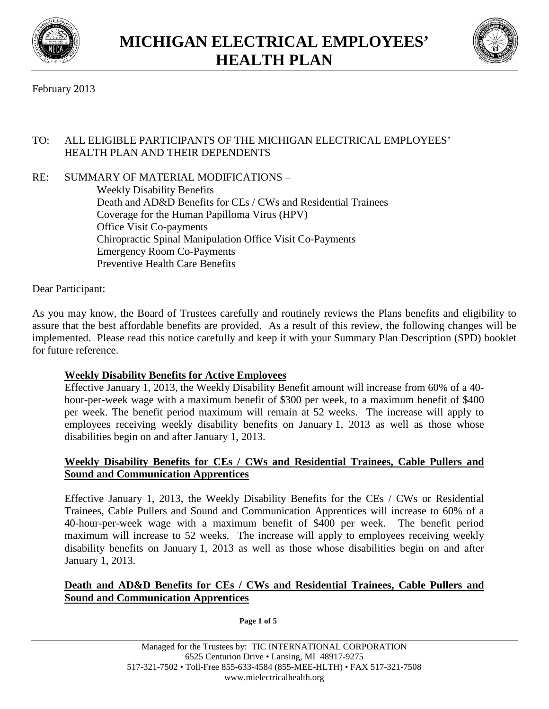



# February 2013

# TO: ALL ELIGIBLE PARTICIPANTS OF THE MICHIGAN ELECTRICAL EMPLOYEES' HEALTH PLAN AND THEIR DEPENDENTS

RE: SUMMARY OF MATERIAL MODIFICATIONS – Weekly Disability Benefits Death and AD&D Benefits for CEs / CWs and Residential Trainees Coverage for the Human Papilloma Virus (HPV) Office Visit Co-payments Chiropractic Spinal Manipulation Office Visit Co-Payments Emergency Room Co-Payments Preventive Health Care Benefits

Dear Participant:

As you may know, the Board of Trustees carefully and routinely reviews the Plans benefits and eligibility to assure that the best affordable benefits are provided. As a result of this review, the following changes will be implemented. Please read this notice carefully and keep it with your Summary Plan Description (SPD) booklet for future reference.

### **Weekly Disability Benefits for Active Employees**

Effective January 1, 2013, the Weekly Disability Benefit amount will increase from 60% of a 40 hour-per-week wage with a maximum benefit of \$300 per week, to a maximum benefit of \$400 per week. The benefit period maximum will remain at 52 weeks. The increase will apply to employees receiving weekly disability benefits on January 1, 2013 as well as those whose disabilities begin on and after January 1, 2013.

### **Weekly Disability Benefits for CEs / CWs and Residential Trainees, Cable Pullers and Sound and Communication Apprentices**

Effective January 1, 2013, the Weekly Disability Benefits for the CEs / CWs or Residential Trainees, Cable Pullers and Sound and Communication Apprentices will increase to 60% of a 40-hour-per-week wage with a maximum benefit of \$400 per week. The benefit period maximum will increase to 52 weeks. The increase will apply to employees receiving weekly disability benefits on January 1, 2013 as well as those whose disabilities begin on and after January 1, 2013.

### **Death and AD&D Benefits for CEs / CWs and Residential Trainees, Cable Pullers and Sound and Communication Apprentices**

**Page 1 of 5**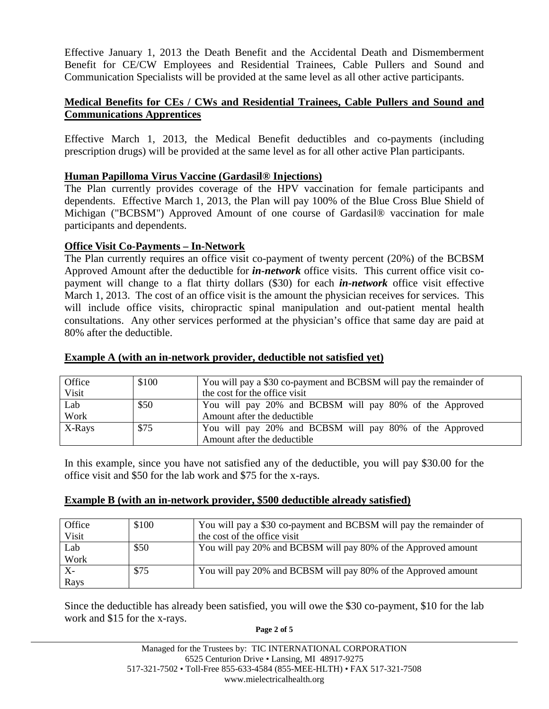Effective January 1, 2013 the Death Benefit and the Accidental Death and Dismemberment Benefit for CE/CW Employees and Residential Trainees, Cable Pullers and Sound and Communication Specialists will be provided at the same level as all other active participants.

# **Medical Benefits for CEs / CWs and Residential Trainees, Cable Pullers and Sound and Communications Apprentices**

Effective March 1, 2013, the Medical Benefit deductibles and co-payments (including prescription drugs) will be provided at the same level as for all other active Plan participants.

# **Human Papilloma Virus Vaccine (Gardasil® Injections)**

The Plan currently provides coverage of the HPV vaccination for female participants and dependents. Effective March 1, 2013, the Plan will pay 100% of the Blue Cross Blue Shield of Michigan ("BCBSM") Approved Amount of one course of Gardasil® vaccination for male participants and dependents.

# **Office Visit Co-Payments – In-Network**

The Plan currently requires an office visit co-payment of twenty percent (20%) of the BCBSM Approved Amount after the deductible for *in-network* office visits. This current office visit copayment will change to a flat thirty dollars (\$30) for each *in-network* office visit effective March 1, 2013. The cost of an office visit is the amount the physician receives for services. This will include office visits, chiropractic spinal manipulation and out-patient mental health consultations. Any other services performed at the physician's office that same day are paid at 80% after the deductible.

| Office | \$100 | You will pay a \$30 co-payment and BCBSM will pay the remainder of |  |
|--------|-------|--------------------------------------------------------------------|--|
| Visit  |       | the cost for the office visit                                      |  |
| Lab    | \$50  | You will pay 20% and BCBSM will pay 80% of the Approved            |  |
| Work   |       | Amount after the deductible                                        |  |
| X-Rays | \$75  | You will pay 20% and BCBSM will pay 80% of the Approved            |  |
|        |       | Amount after the deductible                                        |  |

#### **Example A (with an in-network provider, deductible not satisfied yet)**

In this example, since you have not satisfied any of the deductible, you will pay \$30.00 for the office visit and \$50 for the lab work and \$75 for the x-rays.

### **Example B (with an in-network provider, \$500 deductible already satisfied)**

| Office | \$100 | You will pay a \$30 co-payment and BCBSM will pay the remainder of |
|--------|-------|--------------------------------------------------------------------|
| Visit  |       | the cost of the office visit                                       |
| Lab    | \$50  | You will pay 20% and BCBSM will pay 80% of the Approved amount     |
| Work   |       |                                                                    |
| $X-$   | \$75  | You will pay 20% and BCBSM will pay 80% of the Approved amount     |
| Rays   |       |                                                                    |

Since the deductible has already been satisfied, you will owe the \$30 co-payment, \$10 for the lab work and \$15 for the x-rays.

**Page 2 of 5**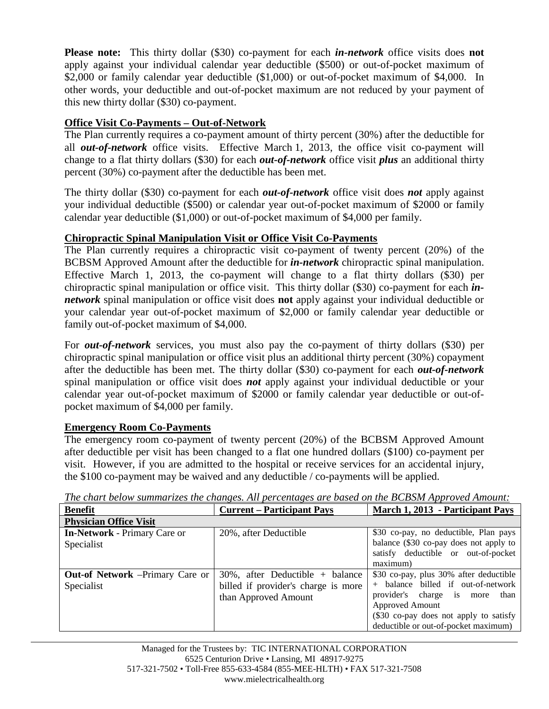**Please note:** This thirty dollar (\$30) co-payment for each *in-network* office visits does **not** apply against your individual calendar year deductible (\$500) or out-of-pocket maximum of \$2,000 or family calendar year deductible (\$1,000) or out-of-pocket maximum of \$4,000. In other words, your deductible and out-of-pocket maximum are not reduced by your payment of this new thirty dollar (\$30) co-payment.

# **Office Visit Co-Payments – Out-of-Network**

The Plan currently requires a co-payment amount of thirty percent (30%) after the deductible for all *out-of-network* office visits. Effective March 1, 2013, the office visit co-payment will change to a flat thirty dollars (\$30) for each *out-of-network* office visit *plus* an additional thirty percent (30%) co-payment after the deductible has been met.

The thirty dollar (\$30) co-payment for each *out-of-network* office visit does *not* apply against your individual deductible (\$500) or calendar year out-of-pocket maximum of \$2000 or family calendar year deductible (\$1,000) or out-of-pocket maximum of \$4,000 per family.

# **Chiropractic Spinal Manipulation Visit or Office Visit Co-Payments**

The Plan currently requires a chiropractic visit co-payment of twenty percent (20%) of the BCBSM Approved Amount after the deductible for *in-network* chiropractic spinal manipulation. Effective March 1, 2013, the co-payment will change to a flat thirty dollars (\$30) per chiropractic spinal manipulation or office visit. This thirty dollar (\$30) co-payment for each *innetwork* spinal manipulation or office visit does **not** apply against your individual deductible or your calendar year out-of-pocket maximum of \$2,000 or family calendar year deductible or family out-of-pocket maximum of \$4,000.

For *out-of-network* services, you must also pay the co-payment of thirty dollars (\$30) per chiropractic spinal manipulation or office visit plus an additional thirty percent (30%) copayment after the deductible has been met. The thirty dollar (\$30) co-payment for each *out-of-network* spinal manipulation or office visit does *not* apply against your individual deductible or your calendar year out-of-pocket maximum of \$2000 or family calendar year deductible or out-ofpocket maximum of \$4,000 per family.

### **Emergency Room Co-Payments**

The emergency room co-payment of twenty percent (20%) of the BCBSM Approved Amount after deductible per visit has been changed to a flat one hundred dollars (\$100) co-payment per visit. However, if you are admitted to the hospital or receive services for an accidental injury, the \$100 co-payment may be waived and any deductible / co-payments will be applied.

| <b>Benefit</b>                                        | <b>Current – Participant Pays</b>                                                                  | March 1, 2013 - Participant Pays                                                                                                                                                                                    |
|-------------------------------------------------------|----------------------------------------------------------------------------------------------------|---------------------------------------------------------------------------------------------------------------------------------------------------------------------------------------------------------------------|
| <b>Physician Office Visit</b>                         |                                                                                                    |                                                                                                                                                                                                                     |
| <b>In-Network - Primary Care or</b><br>Specialist     | 20%, after Deductible                                                                              | \$30 co-pay, no deductible, Plan pays<br>balance (\$30 co-pay does not apply to<br>satisfy deductible or out-of-pocket<br>maximum)                                                                                  |
| <b>Out-of Network</b> – Primary Care or<br>Specialist | $30\%$ , after Deductible + balance<br>billed if provider's charge is more<br>than Approved Amount | \$30 co-pay, plus 30% after deductible<br>+ balance billed if out-of-network<br>provider's charge is more than<br>Approved Amount<br>(\$30 co-pay does not apply to satisfy<br>deductible or out-of-pocket maximum) |

*The chart below summarizes the changes. All percentages are based on the BCBSM Approved Amount:*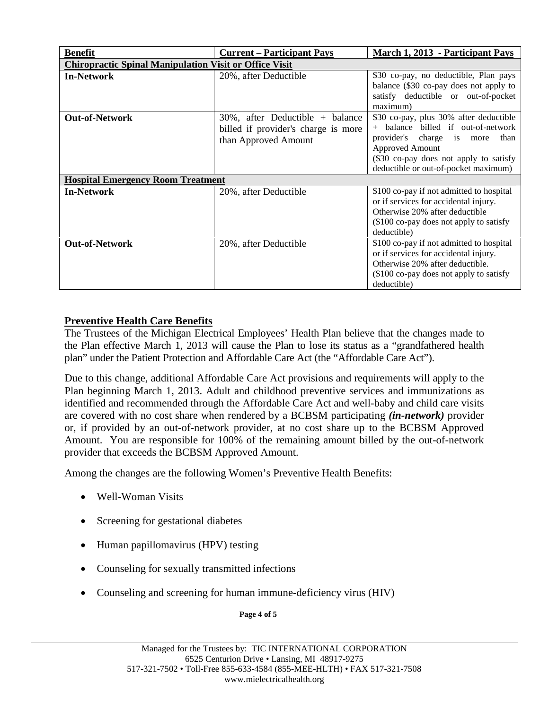| <b>Benefit</b>                                                | <b>Current – Participant Pays</b>                                                                  | March 1, 2013 - Participant Pays                                                                                                                                                                                     |  |  |  |
|---------------------------------------------------------------|----------------------------------------------------------------------------------------------------|----------------------------------------------------------------------------------------------------------------------------------------------------------------------------------------------------------------------|--|--|--|
| <b>Chiropractic Spinal Manipulation Visit or Office Visit</b> |                                                                                                    |                                                                                                                                                                                                                      |  |  |  |
| <b>In-Network</b>                                             | 20%, after Deductible                                                                              | \$30 co-pay, no deductible, Plan pays<br>balance (\$30 co-pay does not apply to<br>satisfy deductible or out-of-pocket<br>maximum)                                                                                   |  |  |  |
| <b>Out-of-Network</b>                                         | $30\%$ , after Deductible + balance<br>billed if provider's charge is more<br>than Approved Amount | \$30 co-pay, plus 30% after deductible<br>balance billed if out-of-network<br>provider's charge is more<br>than<br>Approved Amount<br>(\$30 co-pay does not apply to satisfy<br>deductible or out-of-pocket maximum) |  |  |  |
| <b>Hospital Emergency Room Treatment</b>                      |                                                                                                    |                                                                                                                                                                                                                      |  |  |  |
| <b>In-Network</b>                                             | 20%, after Deductible                                                                              | \$100 co-pay if not admitted to hospital<br>or if services for accidental injury.<br>Otherwise 20% after deductible<br>(\$100 co-pay does not apply to satisfy<br>deductible)                                        |  |  |  |
| <b>Out-of-Network</b>                                         | 20%, after Deductible                                                                              | \$100 co-pay if not admitted to hospital<br>or if services for accidental injury.<br>Otherwise 20% after deductible.<br>(\$100 co-pay does not apply to satisfy<br>deductible)                                       |  |  |  |

# **Preventive Health Care Benefits**

The Trustees of the Michigan Electrical Employees' Health Plan believe that the changes made to the Plan effective March 1, 2013 will cause the Plan to lose its status as a "grandfathered health plan" under the Patient Protection and Affordable Care Act (the "Affordable Care Act").

Due to this change, additional Affordable Care Act provisions and requirements will apply to the Plan beginning March 1, 2013. Adult and childhood preventive services and immunizations as identified and recommended through the Affordable Care Act and well-baby and child care visits are covered with no cost share when rendered by a BCBSM participating *(in-network)* provider or, if provided by an out-of-network provider, at no cost share up to the BCBSM Approved Amount. You are responsible for 100% of the remaining amount billed by the out-of-network provider that exceeds the BCBSM Approved Amount.

Among the changes are the following Women's Preventive Health Benefits:

- Well-Woman Visits
- Screening for gestational diabetes
- Human papillomavirus (HPV) testing
- Counseling for sexually transmitted infections
- Counseling and screening for human immune-deficiency virus (HIV)

**Page 4 of 5**